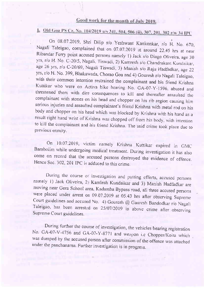### Good work for the month of July 2019.

### 1. Old Goa PS Cr. No. 104/2019 u/s 341, 504, 506 (ii), 307, 201, 302 r/w 34 IPC

On 08.07.2019, Shri Dilip s/o Yeshwant Kankonkar, r/o H. No. 670, Nagali Taleigao, complained that on 07.07.2019 at around 22.45 hrs at near Ribandar Ferry point accused persons namely 1) Jack s/o Diago Oliveira, age 30 yrs, r/o H. No. C-20/5, Nagali, Tiswadi, 2) Kamresh s/o Chandrakant Kundaikar, age 26 yrs, r/o C-20/69, Nagali Tiswadi, 3) Manish s/o Raju Hadfadkar, age 22 yrs, r/o H. No. 399, Bhakawada, Chorao Goa and 4) Gouresh r/o Nagali Taleigao, with their common intention restrained the complainant and his friend Krishna<br>Kuttikar who were on Activa bike bearing No. GA-07-Y-1596, abused and<br>threatened them with dire consequences to kill and thereafter assaulted th result right hand wrist of Krishna was chopped off from his body, with intention to kill the complainant and his friend Krishna. The said crime took place due to previous enmity.

On 10.07.2019, victim namely Krishna Kuttikar expired in GMC<br>Bambolim while undergoing medical treatment. During investigation it has also come on record that the accused persons destroyed the evidence of offence. Hence Sec. 302, 201 IPC is adduced to this crime.

During the course of investigation and putting efforts, accused persons namely 1) Jack Oliveira, 2) Kamlesh Kundaikar and 3) Manish Hadfadkar are moving near Gera School area, Kadamba Bypass road, all three accused persons were placed under arrest on 09.07.2019 at 05.43 hrs after observing Supreme<br>Court guidelines and accused No. 4) Gouresh @ Gauresh Bandodkar r/o Nagali Taleigao, has been arrested on 25/07/2019 in above crime after observing Supreme Court guidelines.

During further the course of investigation, the vehicles bearing registration No. GA-07-V-4756 and GA-07-Y-8771 and weapon i.e Chopper/Koira which was dumped by the accused person after commission of the offence was attached under the panchanama. Further investigation is in progress.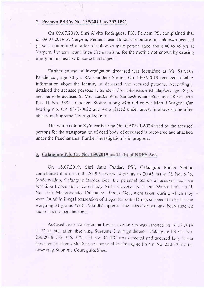#### ! Pernem PS Cr. No. 135/2019 u/s 302 IPC.

On 09.07.2019, Shri Alvito Rodrigues, PSI, Pemem PS, complained that on 09,07.2019 at Varpem, Pernem near Hindu Crematorium, unknown accused persons committed murder of unknown male person aged about 40 to 45 yrs at Varpem. Pernem near Hindu Crematorium, for the motive not known by causing injury on his head with some hard object.

Further course of investigation deceased was identified as Mr. Sarvesh Khadepkar, age 30 yrs R/o Guddem Siolim. On 10/07/2019 received reliable information about the identity of deceased and accused persons. Accordingly detained the accused persons 1. Sandesh S/o. Ghansham Khadapkar, age 38 yrs. and his wife accused 2. Mrs. Latika W/o, Sandesh Khadapkar, age 28 vrs both R/o. H. No. 389 L. Gaddem Siohm, along with red colour Maruti Wagonr Car hearing No. GA 03-K-0632 and were placed under arrest in above crime after observing Supreme Court guidelines

The white colour Xylo car bearing No. GA03-R-6924 used by the accused persons for the transportation of dead body of deceased is recovered and attached under the Panchanama. Fufiher investigation is in progress.

#### 3. Calangute P.S. Cr. No. 159/2019 u/s 21 (b) of NDPS Act.

On 16.07.2019, Shri Jatin Potdar, PSI, Calangute Police Station complained that on  $16.07,2019$  between  $14.50$  hrs to  $20.45$  hrs at H, No,  $5/75$ , Maddovaddo, Calangute Bardez Goa, the personal search of accused Joao vo. Jeronima Lopes and accused lady Nisha Govekar a Heena Shaikh both rio H. No. 5/75. Maddovaddo, Calangute, Bardez Goa, were taken during which they were found in illegal possession of illegal Narcotic Drugs suspected to be Heroin. weighing 31 grams W/Rs. 93,000/- approx. The seized drugs have been attached. under seizure panchanama.

Accused Joao s/o Jeronima Lopes, age 46 yrs was arrested on 16.07.2019. at 22.52 hrs, after observing Supreme Court guidelines. Calangute PS Cr. No. 238/2018 U/S 356, 379, 411 r/w 34 IPC was detected and accused lady Nish.r Govekar (a) Heena Shaikh were arrested in Calangute PS Cr. No. 238/2018 after observing Supreme Court guidelines.